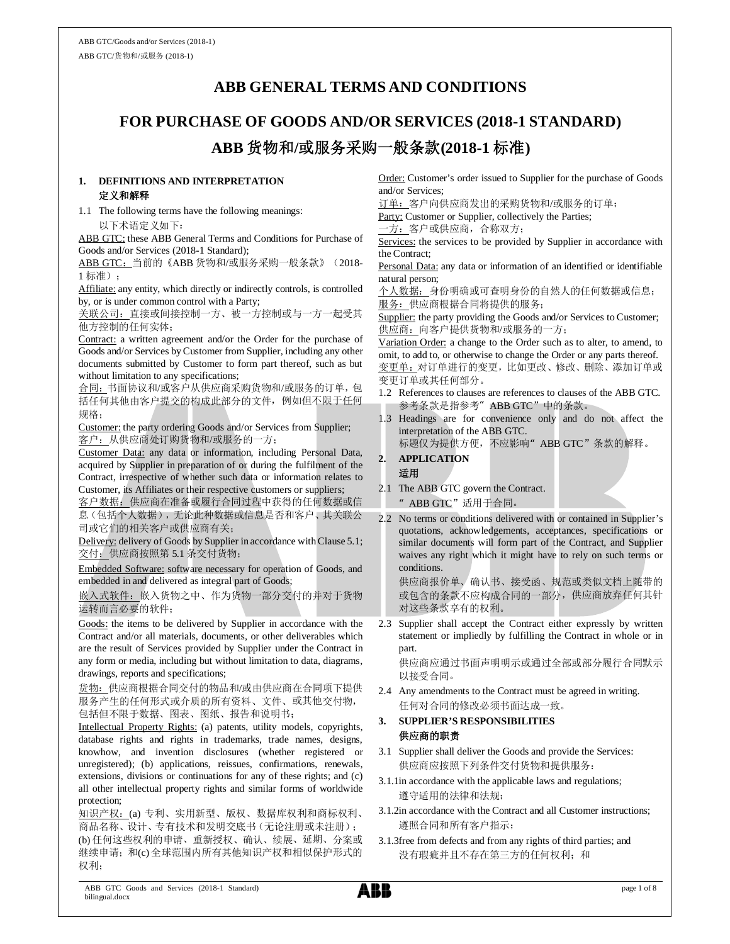# **ABB GENERAL TERMS AND CONDITIONS**

# **FOR PURCHASE OF GOODS AND/OR SERVICES (2018-1 STANDARD) ABB** 货物和**/**或服务采购一般条款**(2018-1** 标准**)**

### **1. DEFINITIONS AND INTERPRETATION** 定义和解释

1.1 The following terms have the following meanings: 以下术语定义如下:

ABB GTC: these ABB General Terms and Conditions for Purchase of Goods and/or Services (2018-1 Standard);

ABB GTC: 当前的《ABB 货物和/或服务采购一般条款》(2018-1 标准);

Affiliate: any entity, which directly or indirectly controls, is controlled by, or is under common control with a Party;

关联公司:直接或间接控制一方、被一方控制或与一方一起受其 他方控制的任何实体;

Contract: a written agreement and/or the Order for the purchase of Goods and/or Services by Customer from Supplier, including any other documents submitted by Customer to form part thereof, such as but without limitation to any specifications;

合同:书面协议和/或客户从供应商采购货物和/或服务的订单,包 括任何其他由客户提交的构成此部分的文件,例如但不限于任何 规格;

Customer: the party ordering Goods and/or Services from Supplier; 客户:从供应商处订购货物和/或服务的一方;

Customer Data: any data or information, including Personal Data, acquired by Supplier in preparation of or during the fulfilment of the Contract, irrespective of whether such data or information relates to Customer, its Affiliates or their respective customers or suppliers;

客户数据:供应商在准备或履行合同过程中获得的任何数据或信 息(包括个人数据),无论此种数据或信息是否和客户、其关联公 司或它们的相关客户或供应商有关;

Delivery: delivery of Goods by Supplier in accordance with Clause 5.1; 交付:供应商按照第 5.1 条交付货物;

Embedded Software: software necessary for operation of Goods, and embedded in and delivered as integral part of Goods;

嵌入式软件:嵌入货物之中、作为货物一部分交付的并对于货物 运转而言必要的软件;

Goods: the items to be delivered by Supplier in accordance with the Contract and/or all materials, documents, or other deliverables which are the result of Services provided by Supplier under the Contract in any form or media, including but without limitation to data, diagrams, drawings, reports and specifications;

货物: 供应商根据合同交付的物品和/或由供应商在合同项下提供 服务产生的任何形式或介质的所有资料、文件、或其他交付物, 包括但不限于数据、图表、图纸、报告和说明书;

Intellectual Property Rights: (a) patents, utility models, copyrights, database rights and rights in trademarks, trade names, designs, knowhow, and invention disclosures (whether registered or unregistered); (b) applications, reissues, confirmations, renewals, extensions, divisions or continuations for any of these rights; and (c) all other intellectual property rights and similar forms of worldwide protection;

知识产权: (a) 专利、实用新型、版权、数据库权利和商标权利、 商品名称、设计、专有技术和发明交底书(无论注册或未注册); (b) 任何这些权利的申请、重新授权、确认、续展、延期、分案或 继续申请;和(c) 全球范围内所有其他知识产权和相似保护形式的 权利;

Order: Customer's order issued to Supplier for the purchase of Goods and/or Services;

订单:客户向供应商发出的采购货物和/或服务的订单;

Party: Customer or Supplier, collectively the Parties;

-方: 客户或供应商, 合称双方;

Services: the services to be provided by Supplier in accordance with the Contract;

Personal Data: any data or information of an identified or identifiable natural person;

个人数据:身份明确或可查明身份的自然人的任何数据或信息; 服务:供应商根据合同将提供的服务;

Supplier: the party providing the Goods and/or Services to Customer; 供应商: 向客户提供货物和/或服务的一方;

Variation Order: a change to the Order such as to alter, to amend, to omit, to add to, or otherwise to change the Order or any parts thereof. 变更单:对订单进行的变更,比如更改、修改、删除、添加订单或 变更订单或其任何部分。

- 1.2 References to clauses are references to clauses of the ABB GTC. 参考条款是指参考"ABB GTC"中的条款。
- 1.3 Headings are for convenience only and do not affect the interpretation of the ABB GTC.

标题仅为提供方便, 不应影响" ABB GTC"条款的解释。

### **2. APPLICATION** 适用

2.1 The ABB GTC govern the Contract.

"ABB GTC"适用于合同。

2.2 No terms or conditions delivered with or contained in Supplier's quotations, acknowledgements, acceptances, specifications or similar documents will form part of the Contract, and Supplier waives any right which it might have to rely on such terms or conditions.

供应商报价单、确认书、接受函、规范或类似文档上随带的 或包含的条款不应构成合同的一部分,供应商放弃任何其针 对这些条款享有的权利。

2.3 Supplier shall accept the Contract either expressly by written statement or impliedly by fulfilling the Contract in whole or in part.

供应商应通过书面声明明示或通过全部或部分履行合同默示 以接受合同。

2.4 Any amendments to the Contract must be agreed in writing. 任何对合同的修改必须书面达成一致。

# **3. SUPPLIER'S RESPONSIBILITIES** 供应商的职责

- 3.1 Supplier shall deliver the Goods and provide the Services: 供应商应按照下列条件交付货物和提供服务:
- 3.1.1in accordance with the applicable laws and regulations; 遵守适用的法律和法规;
- 3.1.2in accordance with the Contract and all Customer instructions; 遵照合同和所有客户指示;
- 3.1.3free from defects and from any rights of third parties; and 没有瑕疵并且不存在第三方的任何权利;和

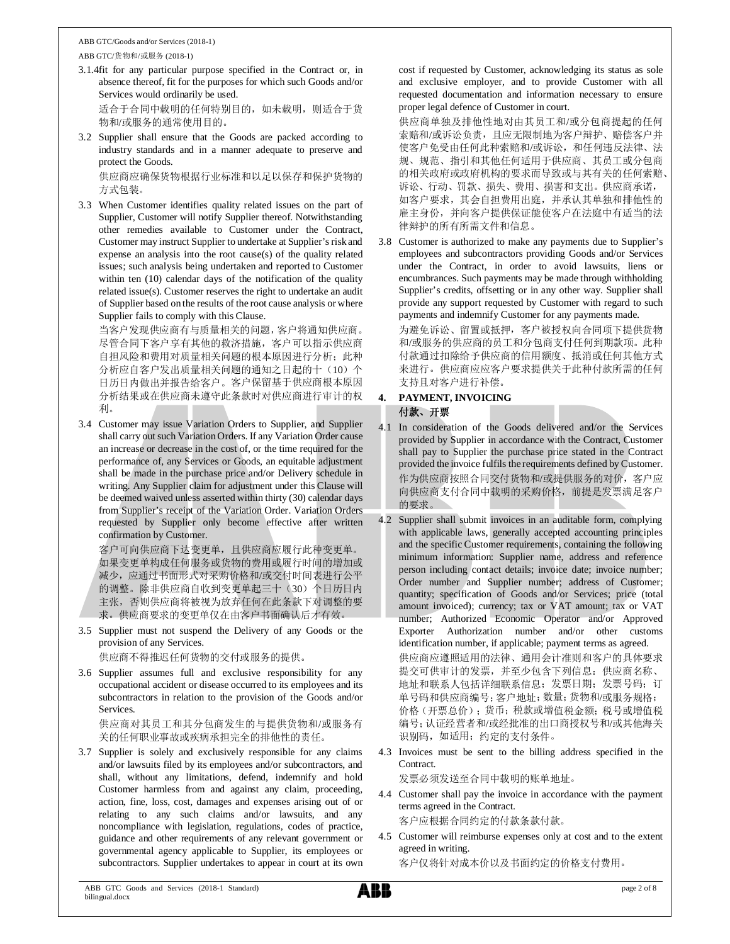#### ABB GTC/Goods and/or Services (2018-1) ABB GTC/货物和/或服务 (2018-1)

3.1.4fit for any particular purpose specified in the Contract or, in absence thereof, fit for the purposes for which such Goods and/or Services would ordinarily be used.

适合于合同中载明的任何特别目的,如未载明,则适合于货 物和/或服务的通常使用目的。

3.2 Supplier shall ensure that the Goods are packed according to industry standards and in a manner adequate to preserve and protect the Goods.

供应商应确保货物根据行业标准和以足以保存和保护货物的 方式包装。

3.3 When Customer identifies quality related issues on the part of Supplier, Customer will notify Supplier thereof. Notwithstanding other remedies available to Customer under the Contract, Customer may instruct Supplier to undertake at Supplier's risk and expense an analysis into the root cause(s) of the quality related issues; such analysis being undertaken and reported to Customer within ten (10) calendar days of the notification of the quality related issue(s). Customer reserves the right to undertake an audit of Supplier based on the results of the root cause analysis or where Supplier fails to comply with this Clause.

当客户发现供应商有与质量相关的问题,客户将通知供应商。 尽管合同下客户享有其他的救济措施,客户可以指示供应商 自担风险和费用对质量相关问题的根本原因进行分析;此种 分析应自客户发出质量相关问题的通知之日起的十(10)个 日历日内做出并报告给客户。客户保留基于供应商根本原因 分析结果或在供应商未遵守此条款时对供应商进行审计的权 利。

3.4 Customer may issue Variation Orders to Supplier, and Supplier shall carry out such Variation Orders. If any Variation Order cause an increase or decrease in the cost of, or the time required for the performance of, any Services or Goods, an equitable adjustment shall be made in the purchase price and/or Delivery schedule in writing. Any Supplier claim for adjustment under this Clause will be deemed waived unless asserted within thirty (30) calendar days from Supplier's receipt of the Variation Order. Variation Orders requested by Supplier only become effective after written confirmation by Customer.

客户可向供应商下达变更单,且供应商应履行此种变更单。 如果变更单构成任何服务或货物的费用或履行时间的增加或 减少,应通过书面形式对采购价格和/或交付时间表进行公平 的调整。除非供应商自收到变更单起三十(30)个日历日内 主张,否则供应商将被视为放弃任何在此条款下对调整的要 求。供应商要求的变更单仅在由客户书面确认后才有效。

3.5 Supplier must not suspend the Delivery of any Goods or the provision of any Services.

供应商不得推迟任何货物的交付或服务的提供。

3.6 Supplier assumes full and exclusive responsibility for any occupational accident or disease occurred to its employees and its subcontractors in relation to the provision of the Goods and/or **Services** 

供应商对其员工和其分包商发生的与提供货物和/或服务有 关的任何职业事故或疾病承担完全的排他性的责任。

3.7 Supplier is solely and exclusively responsible for any claims and/or lawsuits filed by its employees and/or subcontractors, and shall, without any limitations, defend, indemnify and hold Customer harmless from and against any claim, proceeding, action, fine, loss, cost, damages and expenses arising out of or relating to any such claims and/or lawsuits, and any noncompliance with legislation, regulations, codes of practice, guidance and other requirements of any relevant government or governmental agency applicable to Supplier, its employees or subcontractors. Supplier undertakes to appear in court at its own cost if requested by Customer, acknowledging its status as sole and exclusive employer, and to provide Customer with all requested documentation and information necessary to ensure proper legal defence of Customer in court.

供应商单独及排他性地对由其员工和/或分包商提起的任何 索赔和/或诉讼负责,且应无限制地为客户辩护、赔偿客户并 使客户免受由任何此种索赔和/或诉讼,和任何违反法律、法 规、规范、指引和其他任何适用于供应商、其员工或分包商 的相关政府或政府机构的要求而导致或与其有关的任何索赔、 诉讼、行动、罚款、损失、费用、损害和支出。供应商承诺, 如客户要求,其会自担费用出庭,并承认其单独和排他性的 雇主身份,并向客户提供保证能使客户在法庭中有适当的法 律辩护的所有所需文件和信息。

3.8 Customer is authorized to make any payments due to Supplier's employees and subcontractors providing Goods and/or Services under the Contract, in order to avoid lawsuits, liens or encumbrances. Such payments may be made through withholding Supplier's credits, offsetting or in any other way. Supplier shall provide any support requested by Customer with regard to such payments and indemnify Customer for any payments made.

为避免诉讼、留置或抵押,客户被授权向合同项下提供货物 和/或服务的供应商的员工和分包商支付任何到期款项。此种 付款通过扣除给予供应商的信用额度、抵消或任何其他方式 来进行。供应商应应客户要求提供关于此种付款所需的任何 支持且对客户进行补偿。

# **4. PAYMENT, INVOICING** 付款、开票

4.1 In consideration of the Goods delivered and/or the Services provided by Supplier in accordance with the Contract, Customer shall pay to Supplier the purchase price stated in the Contract provided the invoice fulfils the requirements defined by Customer. 作为供应商按照合同交付货物和/或提供服务的对价,客户应 向供应商支付合同中载明的采购价格,前提是发票满足客户 的要求。

4.2 Supplier shall submit invoices in an auditable form, complying with applicable laws, generally accepted accounting principles and the specific Customer requirements, containing the following minimum information: Supplier name, address and reference person including contact details; invoice date; invoice number; Order number and Supplier number; address of Customer; quantity; specification of Goods and/or Services; price (total amount invoiced); currency; tax or VAT amount; tax or VAT number; Authorized Economic Operator and/or Approved Exporter Authorization number and/or other customs identification number, if applicable; payment terms as agreed. 供应商应遵照适用的法律、通用会计准则和客户的具体要求 提交可供审计的发票,并至少包含下列信息:供应商名称、 地址和联系人包括详细联系信息;发票日期;发票号码;订 单号码和供应商编号;客户地址;数量;货物和/或服务规格; 价格(开票总价);货币;税款或增值税金额;税号或增值税 编号;认证经营者和/或经批准的出口商授权号和/或其他海关 识别码,如适用;约定的支付条件。

4.3 Invoices must be sent to the billing address specified in the Contract.

发票必须发送至合同中载明的账单地址。

4.4 Customer shall pay the invoice in accordance with the payment terms agreed in the Contract.

客户应根据合同约定的付款条款付款。

4.5 Customer will reimburse expenses only at cost and to the extent agreed in writing.

客户仅将针对成本价以及书面约定的价格支付费用。

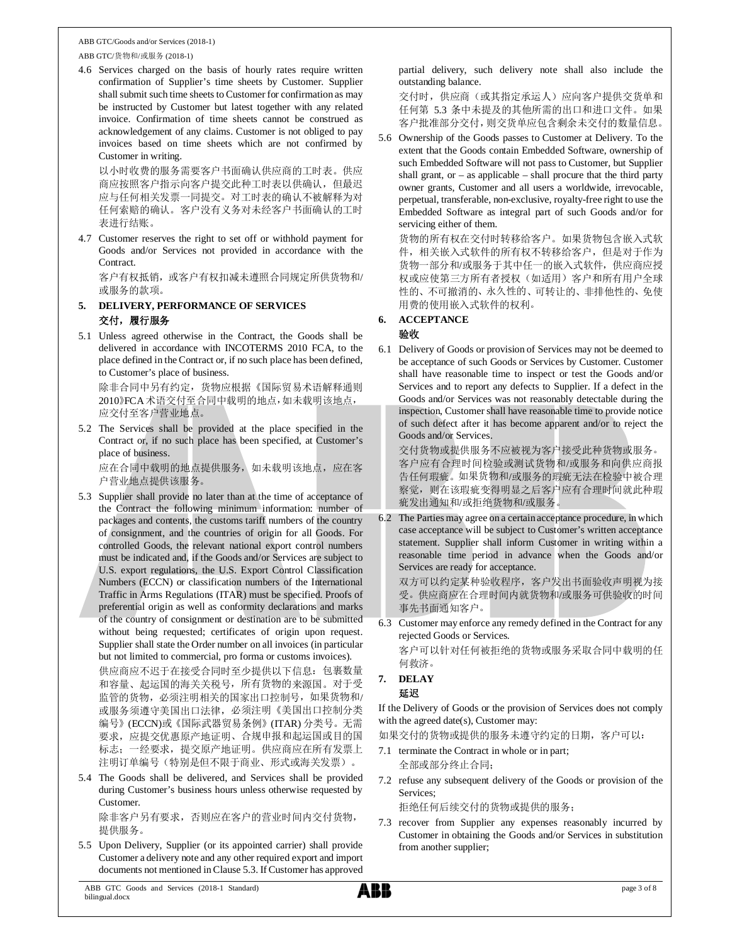ABB GTC/货物和/或服务 (2018-1)

4.6 Services charged on the basis of hourly rates require written confirmation of Supplier's time sheets by Customer. Supplier shall submit such time sheets to Customer for confirmation as may be instructed by Customer but latest together with any related invoice. Confirmation of time sheets cannot be construed as acknowledgement of any claims. Customer is not obliged to pay invoices based on time sheets which are not confirmed by Customer in writing.

以小时收费的服务需要客户书面确认供应商的工时表。供应 商应按照客户指示向客户提交此种工时表以供确认,但最迟 应与任何相关发票一同提交。对工时表的确认不被解释为对 任何索赔的确认。客户没有义务对未经客户书面确认的工时 表进行结账。

4.7 Customer reserves the right to set off or withhold payment for Goods and/or Services not provided in accordance with the Contract.

客户有权抵销,或客户有权扣减未遵照合同规定所供货物和/ 或服务的款项。

- **5. DELIVERY, PERFORMANCE OF SERVICES** 交付,履行服务
- 5.1 Unless agreed otherwise in the Contract, the Goods shall be delivered in accordance with INCOTERMS 2010 FCA, to the place defined in the Contract or, if no such place has been defined, to Customer's place of business.

除非合同中另有约定,货物应根据《国际贸易术语解释通则 2010》FCA术语交付至合同中载明的地点,如未载明该地点, 应交付至客户营业地点。

5.2 The Services shall be provided at the place specified in the Contract or, if no such place has been specified, at Customer's place of business.

应在合同中载明的地点提供服务,如未载明该地点,应在客 户营业地点提供该服务。

- 5.3 Supplier shall provide no later than at the time of acceptance of the Contract the following minimum information: number of packages and contents, the customs tariff numbers of the country of consignment, and the countries of origin for all Goods. For controlled Goods, the relevant national export control numbers must be indicated and, if the Goods and/or Services are subject to U.S. export regulations, the U.S. Export Control Classification Numbers (ECCN) or classification numbers of the International Traffic in Arms Regulations (ITAR) must be specified. Proofs of preferential origin as well as conformity declarations and marks of the country of consignment or destination are to be submitted without being requested; certificates of origin upon request. Supplier shall state the Order number on all invoices (in particular but not limited to commercial, pro forma or customs invoices). 供应商应不迟于在接受合同时至少提供以下信息:包裹数量 和容量、起运国的海关关税号,所有货物的来源国。对于受 监管的货物,必须注明相关的国家出口控制号,如果货物和/ 或服务须遵守美国出口法律,必须注明《美国出口控制分类 编号》(ECCN)或《国际武器贸易条例》(ITAR) 分类号。无需 要求,应提交优惠原产地证明、合规申报和起运国或目的国 标志;一经要求,提交原产地证明。供应商应在所有发票上 注明订单编号(特别是但不限于商业、形式或海关发票)。
- 5.4 The Goods shall be delivered, and Services shall be provided during Customer's business hours unless otherwise requested by Customer.

除非客户另有要求,否则应在客户的营业时间内交付货物, 提供服务。

5.5 Upon Delivery, Supplier (or its appointed carrier) shall provide Customer a delivery note and any other required export and import documents not mentioned in Clause 5.3. If Customer has approved

partial delivery, such delivery note shall also include the outstanding balance.

交付时,供应商(或其指定承运人)应向客户提供交货单和 任何第 5.3 条中未提及的其他所需的出口和进口文件。如果 客户批准部分交付,则交货单应包含剩余未交付的数量信息。

5.6 Ownership of the Goods passes to Customer at Delivery. To the extent that the Goods contain Embedded Software, ownership of such Embedded Software will not pass to Customer, but Supplier shall grant, or  $-$  as applicable  $-$  shall procure that the third party owner grants, Customer and all users a worldwide, irrevocable, perpetual, transferable, non-exclusive, royalty-free right to use the Embedded Software as integral part of such Goods and/or for servicing either of them.

货物的所有权在交付时转移给客户。如果货物包含嵌入式软 件,相关嵌入式软件的所有权不转移给客户,但是对于作为 货物一部分和/或服务于其中任一的嵌入式软件,供应商应授 权或应使第三方所有者授权(如适用)客户和所有用户全球 性的、不可撤消的、永久性的、可转让的、非排他性的、免使 用费的使用嵌入式软件的权利。

### **6. ACCEPTANCE**

### 验收

6.1 Delivery of Goods or provision of Services may not be deemed to be acceptance of such Goods or Services by Customer. Customer shall have reasonable time to inspect or test the Goods and/or Services and to report any defects to Supplier. If a defect in the Goods and/or Services was not reasonably detectable during the inspection, Customer shall have reasonable time to provide notice of such defect after it has become apparent and/or to reject the Goods and/or Services.

交付货物或提供服务不应被视为客户接受此种货物或服务。 客户应有合理时间检验或测试货物和/或服务和向供应商报 告任何瑕疵。如果货物和/或服务的瑕疵无法在检验中被合理 察觉,则在该瑕疵变得明显之后客户应有合理时间就此种瑕 疵发出通知和/或拒绝货物和/或服务。

6.2 The Parties may agree on a certain acceptance procedure, in which case acceptance will be subject to Customer's written acceptance statement. Supplier shall inform Customer in writing within a reasonable time period in advance when the Goods and/or Services are ready for acceptance.

双方可以约定某种验收程序,客户发出书面验收声明视为接 受。供应商应在合理时间内就货物和/或服务可供验收的时间 事先书面通知客户。

6.3 Customer may enforce any remedy defined in the Contract for any rejected Goods or Services.

客户可以针对任何被拒绝的货物或服务采取合同中载明的任 何救济。

### **7. DELAY** 延迟

If the Delivery of Goods or the provision of Services does not comply with the agreed date(s), Customer may:

如果交付的货物或提供的服务未遵守约定的日期,客户可以:

- 7.1 terminate the Contract in whole or in part; 全部或部分终止合同;
- 7.2 refuse any subsequent delivery of the Goods or provision of the Services;

拒绝任何后续交付的货物或提供的服务;

7.3 recover from Supplier any expenses reasonably incurred by Customer in obtaining the Goods and/or Services in substitution from another supplier;

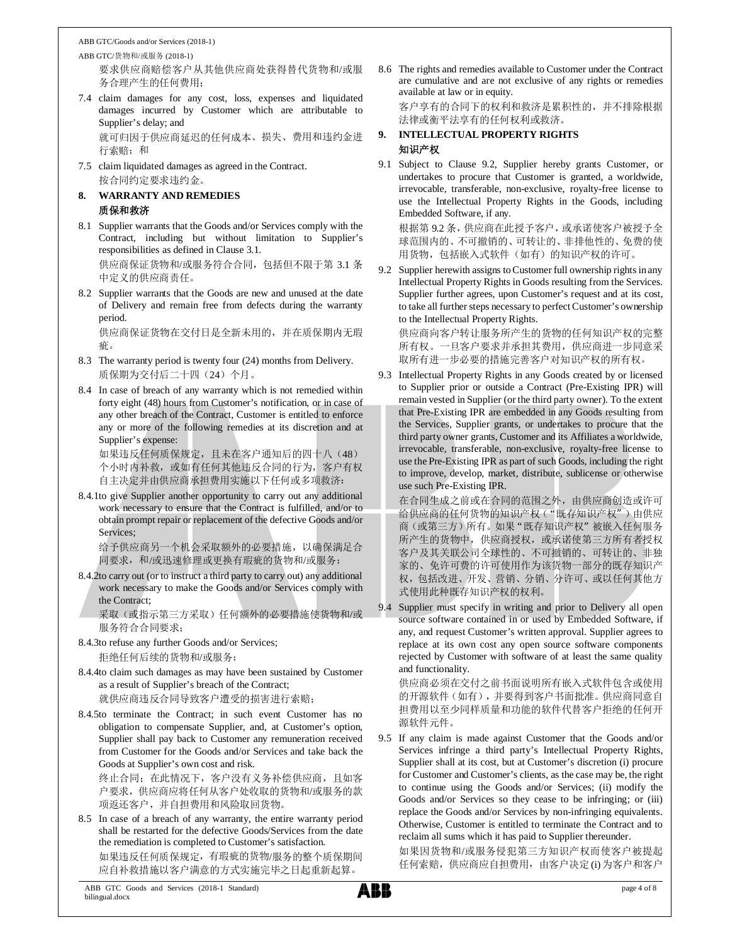ABB GTC/货物和/或服务 (2018-1) 要求供应商赔偿客户从其他供应商处获得替代货物和/或服 务合理产生的任何费用;

- 7.4 claim damages for any cost, loss, expenses and liquidated damages incurred by Customer which are attributable to Supplier's delay; and 就可归因于供应商延迟的任何成本、损失、费用和违约金进
- 行索赔;和 7.5 claim liquidated damages as agreed in the Contract. 按合同约定要求违约金。

# **8. WARRANTY AND REMEDIES** 质保和救济

- 8.1 Supplier warrants that the Goods and/or Services comply with the Contract, including but without limitation to Supplier's responsibilities as defined in Clause 3.1. 供应商保证货物和/或服务符合合同,包括但不限于第 3.1 条 中定义的供应商责任。
- 8.2 Supplier warrants that the Goods are new and unused at the date of Delivery and remain free from defects during the warranty period.

供应商保证货物在交付日是全新未用的,并在质保期内无瑕 疵。

- 8.3 The warranty period is twenty four (24) months from Delivery. 质保期为交付后二十四(24)个月。
- 8.4 In case of breach of any warranty which is not remedied within forty eight (48) hours from Customer's notification, or in case of any other breach of the Contract, Customer is entitled to enforce any or more of the following remedies at its discretion and at Supplier's expense:

如果违反任何质保规定,且未在客户通知后的四十八(48) 个小时内补救,或如有任何其他违反合同的行为,客户有权 自主决定并由供应商承担费用实施以下任何或多项救济:

8.4.1to give Supplier another opportunity to carry out any additional work necessary to ensure that the Contract is fulfilled, and/or to obtain prompt repair or replacement of the defective Goods and/or Services;

给予供应商另一个机会采取额外的必要措施,以确保满足合 同要求,和/或迅速修理或更换有瑕疵的货物和/或服务;

8.4.2to carry out (or to instruct a third party to carry out) any additional work necessary to make the Goods and/or Services comply with the Contract;

采取(或指示第三方采取)任何额外的必要措施使货物和/或 服务符合合同要求;

8.4.3to refuse any further Goods and/or Services; 拒绝任何后续的货物和/或服务;

8.4.4to claim such damages as may have been sustained by Customer as a result of Supplier's breach of the Contract; 就供应商违反合同导致客户遭受的损害进行索赔;

8.4.5to terminate the Contract; in such event Customer has no obligation to compensate Supplier, and, at Customer's option, Supplier shall pay back to Customer any remuneration received from Customer for the Goods and/or Services and take back the Goods at Supplier's own cost and risk.

终止合同;在此情况下,客户没有义务补偿供应商,且如客 户要求,供应商应将任何从客户处收取的货物和/或服务的款 项返还客户,并自担费用和风险取回货物。

8.5 In case of a breach of any warranty, the entire warranty period shall be restarted for the defective Goods/Services from the date the remediation is completed to Customer's satisfaction. 如果违反任何质保规定,有瑕疵的货物/服务的整个质保期间 应自补救措施以客户满意的方式实施完毕之日起重新起算。

8.6 The rights and remedies available to Customer under the Contract are cumulative and are not exclusive of any rights or remedies available at law or in equity.

客户享有的合同下的权利和救济是累积性的,并不排除根据 法律或衡平法享有的任何权利或救济。

# **9. INTELLECTUAL PROPERTY RIGHTS** 知识产权

9.1 Subject to Clause 9.2, Supplier hereby grants Customer, or undertakes to procure that Customer is granted, a worldwide, irrevocable, transferable, non-exclusive, royalty-free license to use the Intellectual Property Rights in the Goods, including Embedded Software, if any.

根据第 9.2 条,供应商在此授予客户,或承诺使客户被授予全 球范围内的、不可撤销的、可转让的、非排他性的、免费的使 用货物,包括嵌入式软件(如有)的知识产权的许可。

9.2 Supplier herewith assigns to Customer full ownership rights in any Intellectual Property Rights in Goods resulting from the Services. Supplier further agrees, upon Customer's request and at its cost, to take all further steps necessary to perfect Customer's ownership to the Intellectual Property Rights.

供应商向客户转让服务所产生的货物的任何知识产权的完整 所有权。一旦客户要求并承担其费用,供应商进一步同意采 取所有进一步必要的措施完善客户对知识产权的所有权。

9.3 Intellectual Property Rights in any Goods created by or licensed to Supplier prior or outside a Contract (Pre-Existing IPR) will remain vested in Supplier (or the third party owner). To the extent that Pre-Existing IPR are embedded in any Goods resulting from the Services, Supplier grants, or undertakes to procure that the third party owner grants, Customer and its Affiliates a worldwide, irrevocable, transferable, non-exclusive, royalty-free license to use the Pre-Existing IPR as part of such Goods, including the right to improve, develop, market, distribute, sublicense or otherwise use such Pre-Existing IPR.

在合同生成之前或在合同的范围之外,由供应商创造或许可 给供应商的任何货物的知识产权("既存知识产权")由供应 商(或第三方)所有。如果"既存知识产权"被嵌入任何服务 所产生的货物中,供应商授权,或承诺使第三方所有者授权 客户及其关联公司全球性的、不可撤销的、可转让的、非独 家的、免许可费的许可使用作为该货物一部分的既存知识产 权,包括改进、开发、营销、分销、分许可、或以任何其他方 式使用此种既存知识产权的权利。

9.4 Supplier must specify in writing and prior to Delivery all open source software contained in or used by Embedded Software, if any, and request Customer's written approval. Supplier agrees to replace at its own cost any open source software components rejected by Customer with software of at least the same quality and functionality.

供应商必须在交付之前书面说明所有嵌入式软件包含或使用 的开源软件(如有),并要得到客户书面批准。供应商同意自 担费用以至少同样质量和功能的软件代替客户拒绝的任何开 源软件元件。

9.5 If any claim is made against Customer that the Goods and/or Services infringe a third party's Intellectual Property Rights, Supplier shall at its cost, but at Customer's discretion (i) procure for Customer and Customer's clients, as the case may be, the right to continue using the Goods and/or Services; (ii) modify the Goods and/or Services so they cease to be infringing; or (iii) replace the Goods and/or Services by non-infringing equivalents. Otherwise, Customer is entitled to terminate the Contract and to reclaim all sums which it has paid to Supplier thereunder.

如果因货物和/或服务侵犯第三方知识产权而使客户被提起 任何索赔,供应商应自担费用, 由客户决定(i)为客户和客户

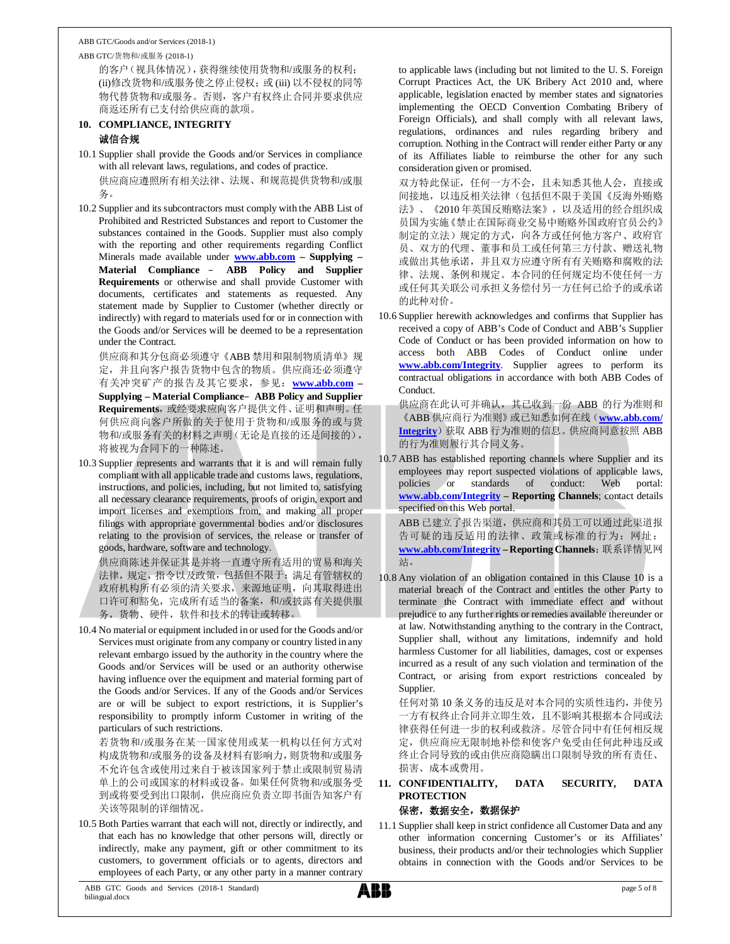ABB GTC/货物和/或服务 (2018-1)

的客户(视具体情况),获得继续使用货物和/或服务的权利; (ii)修改货物和/或服务使之停止侵权;或 (iii) 以不侵权的同等 物代替货物和/或服务。否则,客户有权终止合同并要求供应 商返还所有已支付给供应商的款项。

### **10. COMPLIANCE, INTEGRITY** 诚信合规

- 10.1 Supplier shall provide the Goods and/or Services in compliance with all relevant laws, regulations, and codes of practice. 供应商应遵照所有相关法律、法规、和规范提供货物和/或服 务。
- 10.2 Supplier and its subcontractors must comply with the ABB List of Prohibited and Restricted Substances and report to Customer the substances contained in the Goods. Supplier must also comply with the reporting and other requirements regarding Conflict Minerals made available under **www.abb.com – Supplying – Material Compliance** – **ABB Policy and Supplier Requirements** or otherwise and shall provide Customer with documents, certificates and statements as requested. Any statement made by Supplier to Customer (whether directly or indirectly) with regard to materials used for or in connection with the Goods and/or Services will be deemed to be a representation under the Contract.

供应商和其分包商必须遵守《ABB 禁用和限制物质清单》规 定,并且向客户报告货物中包含的物质。供应商还必须遵守 有关冲突矿产的报告及其它要求,参见:**www.abb.com – Supplying – Material Compliance**–**ABB Policy and Supplier** Requirements, 或经要求应向客户提供文件、证明和声明。任 何供应商向客户所做的关于使用于货物和/或服务的或与货 物和/或服务有关的材料之声明(无论是直接的还是间接的), 将被视为合同下的一种陈述。

10.3 Supplier represents and warrants that it is and will remain fully compliant with all applicable trade and customs laws, regulations, instructions, and policies, including, but not limited to, satisfying all necessary clearance requirements, proofs of origin, export and import licenses and exemptions from, and making all proper filings with appropriate governmental bodies and/or disclosures relating to the provision of services, the release or transfer of goods, hardware, software and technology.

供应商陈述并保证其是并将一直遵守所有适用的贸易和海关 法律,规定,指令以及政策,包括但不限于:满足有管辖权的 政府机构所有必须的清关要求,来源地证明,向其取得进出 口许可和豁免,完成所有适当的备案,和/或披露有关提供服 务,货物、硬件,软件和技术的转让或转移。

10.4 No material or equipment included in or used for the Goods and/or Services must originate from any company or country listed in any relevant embargo issued by the authority in the country where the Goods and/or Services will be used or an authority otherwise having influence over the equipment and material forming part of the Goods and/or Services. If any of the Goods and/or Services are or will be subject to export restrictions, it is Supplier's responsibility to promptly inform Customer in writing of the particulars of such restrictions.

若货物和/或服务在某一国家使用或某一机构以任何方式对 构成货物和/或服务的设备及材料有影响力,则货物和/或服务 不允许包含或使用过来自于被该国家列于禁止或限制贸易清 单上的公司或国家的材料或设备。如果任何货物和/或服务受 到或将要受到出口限制,供应商应负责立即书面告知客户有 关该等限制的详细情况。

10.5 Both Parties warrant that each will not, directly or indirectly, and that each has no knowledge that other persons will, directly or indirectly, make any payment, gift or other commitment to its customers, to government officials or to agents, directors and employees of each Party, or any other party in a manner contrary

to applicable laws (including but not limited to the U. S. Foreign Corrupt Practices Act, the UK Bribery Act 2010 and, where applicable, legislation enacted by member states and signatories implementing the OECD Convention Combating Bribery of Foreign Officials), and shall comply with all relevant laws, regulations, ordinances and rules regarding bribery and corruption. Nothing in the Contract will render either Party or any of its Affiliates liable to reimburse the other for any such consideration given or promised.

双方特此保证,任何一方不会,且未知悉其他人会,直接或 间接地,以违反相关法律(包括但不限于美国《反海外贿赂 法》、《2010 年英国反贿赂法案》,以及适用的经合组织成 员国为实施《禁止在国际商业交易中贿赂外国政府官员公约》 制定的立法)规定的方式,向各方或任何他方客户、政府官 员、双方的代理、董事和员工或任何第三方付款、赠送礼物 或做出其他承诺,并且双方应遵守所有有关贿赂和腐败的法 律、法规、条例和规定。本合同的任何规定均不使任何一方 或任何其关联公司承担义务偿付另一方任何已给予的或承诺 的此种对价。

10.6 Supplier herewith acknowledges and confirms that Supplier has received a copy of ABB's Code of Conduct and ABB's Supplier Code of Conduct or has been provided information on how to access both ABB Codes of Conduct online under **www.abb.com/Integrity**. Supplier agrees to perform its contractual obligations in accordance with both ABB Codes of Conduct.

供应商在此认可并确认,其已收到一份 ABB 的行为准则和 《ABB 供应商行为准则》或已知悉如何在线(**www.abb.com/ Integrity**)获取 ABB 行为准则的信息。供应商同意按照 ABB 的行为准则履行其合同义务。

10.7 ABB has established reporting channels where Supplier and its employees may report suspected violations of applicable laws, policies or standards of conduct: Web portal: **www.abb.com/Integrity – Reporting Channels**; contact details specified on this Web portal. ABB 已建立了报告渠道,供应商和其员工可以通过此渠道报

告可疑的违反适用的法律、政策或标准的行为:网址: **www.abb.com/Integrity – Reporting Channels**;联系详情见网 站。

10.8 Any violation of an obligation contained in this Clause 10 is a material breach of the Contract and entitles the other Party to terminate the Contract with immediate effect and without prejudice to any further rights or remedies available thereunder or at law. Notwithstanding anything to the contrary in the Contract, Supplier shall, without any limitations, indemnify and hold harmless Customer for all liabilities, damages, cost or expenses incurred as a result of any such violation and termination of the Contract, or arising from export restrictions concealed by Supplier.

任何对第 10 条义务的违反是对本合同的实质性违约,并使另 一方有权终止合同并立即生效,且不影响其根据本合同或法 律获得任何进一步的权利或救济。尽管合同中有任何相反规 定,供应商应无限制地补偿和使客户免受由任何此种违反或 终止合同导致的或由供应商隐瞒出口限制导致的所有责任、 损害、成本或费用。

### **11. CONFIDENTIALITY, DATA SECURITY, DATA PROTECTION**

### 保密,数据安全,数据保护

11.1 Supplier shall keep in strict confidence all Customer Data and any other information concerning Customer's or its Affiliates' business, their products and/or their technologies which Supplier obtains in connection with the Goods and/or Services to be

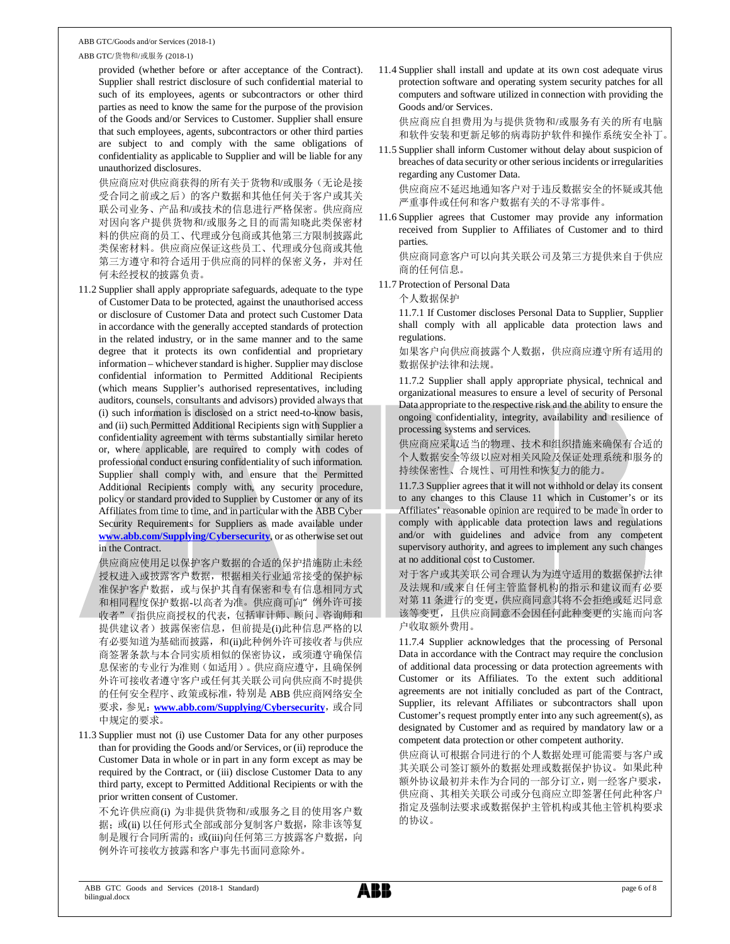#### ABB GTC/货物和/或服务 (2018-1)

provided (whether before or after acceptance of the Contract). Supplier shall restrict disclosure of such confidential material to such of its employees, agents or subcontractors or other third parties as need to know the same for the purpose of the provision of the Goods and/or Services to Customer. Supplier shall ensure that such employees, agents, subcontractors or other third parties are subject to and comply with the same obligations of confidentiality as applicable to Supplier and will be liable for any unauthorized disclosures.

供应商应对供应商获得的所有关于货物和/或服务(无论是接 受合同之前或之后)的客户数据和其他任何关于客户或其关 联公司业务、产品和/或技术的信息进行严格保密。供应商应 对因向客户提供货物和/或服务之目的而需知晓此类保密材 料的供应商的员工、代理或分包商或其他第三方限制披露此 类保密材料。供应商应保证这些员工、代理或分包商或其他 第三方遵守和符合适用于供应商的同样的保密义务,并对任 何未经授权的披露负责。

11.2 Supplier shall apply appropriate safeguards, adequate to the type of Customer Data to be protected, against the unauthorised access or disclosure of Customer Data and protect such Customer Data in accordance with the generally accepted standards of protection in the related industry, or in the same manner and to the same degree that it protects its own confidential and proprietary information – whichever standard is higher. Supplier may disclose confidential information to Permitted Additional Recipients (which means Supplier's authorised representatives, including auditors, counsels, consultants and advisors) provided always that (i) such information is disclosed on a strict need-to-know basis, and (ii) such Permitted Additional Recipients sign with Supplier a confidentiality agreement with terms substantially similar hereto or, where applicable, are required to comply with codes of professional conduct ensuring confidentiality of such information. Supplier shall comply with, and ensure that the Permitted Additional Recipients comply with, any security procedure, policy or standard provided to Supplier by Customer or any of its Affiliates from time to time, and in particular with the ABB Cyber Security Requirements for Suppliers as made available under **www.abb.com/Supplying/Cybersecurity**, or as otherwise set out in the Contract.

供应商应使用足以保护客户数据的合适的保护措施防止未经 授权进入或披露客户数据,根据相关行业通常接受的保护标 准保护客户数据,或与保护其自有保密和专有信息相同方式 和相同程度保护数据-以高者为准。供应商可向"例外许可接 收者"(指供应商授权的代表,包括审计师、顾问、咨询师和 提供建议者) 披露保密信息, 但前提是(i)此种信息严格的以 有必要知道为基础而披露,和(ii)此种例外许可接收者与供应 商签署条款与本合同实质相似的保密协议,或须遵守确保信 息保密的专业行为准则(如适用)。供应商应遵守,且确保例 外许可接收者遵守客户或任何其关联公司向供应商不时提供 的任何安全程序、政策或标准,特别是 ABB 供应商网络安全 要求,参见: www.abb.com/Supplying/Cybersecurity,或合同 中规定的要求。

11.3 Supplier must not (i) use Customer Data for any other purposes than for providing the Goods and/or Services, or (ii) reproduce the Customer Data in whole or in part in any form except as may be required by the Contract, or (iii) disclose Customer Data to any third party, except to Permitted Additional Recipients or with the prior written consent of Customer.

不允许供应商(i) 为非提供货物和/或服务之目的使用客户数 据; 或(ii) 以任何形式全部或部分复制客户数据, 除非该等复 制是履行合同所需的; 或(iii)向任何第三方披露客户数据, 向 例外许可接收方披露和客户事先书面同意除外。

11.4 Supplier shall install and update at its own cost adequate virus protection software and operating system security patches for all computers and software utilized in connection with providing the Goods and/or Services.

供应商应自担费用为与提供货物和/或服务有关的所有电脑 和软件安装和更新足够的病毒防护软件和操作系统安全补丁。

- 11.5 Supplier shall inform Customer without delay about suspicion of breaches of data security or other serious incidents or irregularities regarding any Customer Data. 供应商应不延迟地通知客户对于违反数据安全的怀疑或其他 严重事件或任何和客户数据有关的不寻常事件。
- 11.6 Supplier agrees that Customer may provide any information received from Supplier to Affiliates of Customer and to third parties.

供应商同意客户可以向其关联公司及第三方提供来自于供应 商的任何信息。

11.7 Protection of Personal Data

个人数据保护

11.7.1 If Customer discloses Personal Data to Supplier, Supplier shall comply with all applicable data protection laws and regulations.

如果客户向供应商披露个人数据,供应商应遵守所有适用的 数据保护法律和法规。

11.7.2 Supplier shall apply appropriate physical, technical and organizational measures to ensure a level of security of Personal Data appropriate to the respective risk and the ability to ensure the ongoing confidentiality, integrity, availability and resilience of processing systems and services.

供应商应采取适当的物理、技术和组织措施来确保有合适的 个人数据安全等级以应对相关风险及保证处理系统和服务的 持续保密性、合规性、可用性和恢复力的能力。

11.7.3 Supplier agrees that it will not withhold or delay its consent to any changes to this Clause 11 which in Customer's or its Affiliates' reasonable opinion are required to be made in order to comply with applicable data protection laws and regulations and/or with guidelines and advice from any competent supervisory authority, and agrees to implement any such changes at no additional cost to Customer.

对于客户或其关联公司合理认为为遵守适用的数据保护法律 及法规和/或来自任何主管监督机构的指示和建议而有必要 对第 11 条进行的变更,供应商同意其将不会拒绝或延迟同意 该等变更,且供应商同意不会因任何此种变更的实施而向客 户收取额外费用。

11.7.4 Supplier acknowledges that the processing of Personal Data in accordance with the Contract may require the conclusion of additional data processing or data protection agreements with Customer or its Affiliates. To the extent such additional agreements are not initially concluded as part of the Contract, Supplier, its relevant Affiliates or subcontractors shall upon Customer's request promptly enter into any such agreement(s), as designated by Customer and as required by mandatory law or a competent data protection or other competent authority.

供应商认可根据合同进行的个人数据处理可能需要与客户或 其关联公司签订额外的数据处理或数据保护协议。如果此种 额外协议最初并未作为合同的一部分订立,则一经客户要求, 供应商、其相关关联公司或分包商应立即签署任何此种客户 指定及强制法要求或数据保护主管机构或其他主管机构要求 的协议。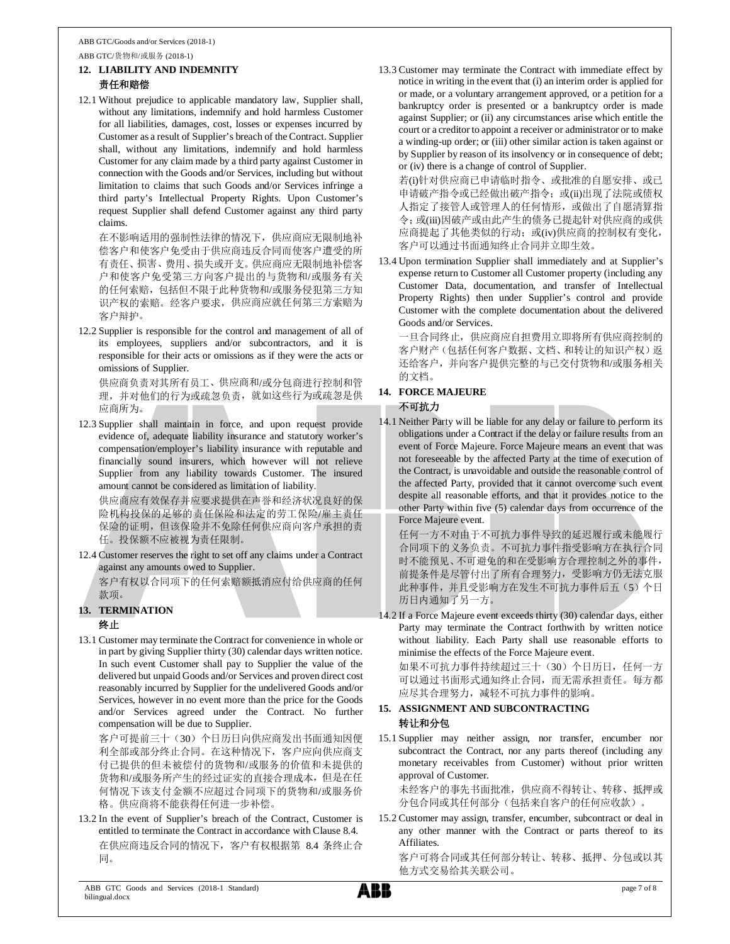# **12. LIABILITY AND INDEMNITY** 责任和赔偿

12.1 Without prejudice to applicable mandatory law, Supplier shall, without any limitations, indemnify and hold harmless Customer for all liabilities, damages, cost, losses or expenses incurred by Customer as a result of Supplier's breach of the Contract. Supplier shall, without any limitations, indemnify and hold harmless Customer for any claim made by a third party against Customer in connection with the Goods and/or Services, including but without limitation to claims that such Goods and/or Services infringe a third party's Intellectual Property Rights. Upon Customer's request Supplier shall defend Customer against any third party claims.

在不影响适用的强制性法律的情况下,供应商应无限制地补 偿客户和使客户免受由于供应商违反合同而使客户遭受的所 有责任、损害、费用、损失或开支。供应商应无限制地补偿客 户和使客户免受第三方向客户提出的与货物和/或服务有关 的任何索赔,包括但不限于此种货物和/或服务侵犯第三方知 识产权的索赔。经客户要求,供应商应就任何第三方索赔为 客户辩护。

12.2 Supplier is responsible for the control and management of all of its employees, suppliers and/or subcontractors, and it is responsible for their acts or omissions as if they were the acts or omissions of Supplier.

供应商负责对其所有员工、供应商和/或分包商进行控制和管 理,并对他们的行为或疏忽负责,就如这些行为或疏忽是供 应商所为。

12.3 Supplier shall maintain in force, and upon request provide evidence of, adequate liability insurance and statutory worker's compensation/employer's liability insurance with reputable and financially sound insurers, which however will not relieve Supplier from any liability towards Customer. The insured amount cannot be considered as limitation of liability.

供应商应有效保存并应要求提供在声誉和经济状况良好的保 险机构投保的足够的责任保险和法定的劳工保险/雇主责任 保险的证明,但该保险并不免除任何供应商向客户承担的责 任。投保额不应被视为责任限制。

12.4 Customer reserves the right to set off any claims under a Contract against any amounts owed to Supplier.

客户有权以合同项下的任何索赔额抵消应付给供应商的任何 款项。

# **13. TERMINATION**

# 终止

13.1 Customer may terminate the Contract for convenience in whole or in part by giving Supplier thirty (30) calendar days written notice. In such event Customer shall pay to Supplier the value of the delivered but unpaid Goods and/or Services and proven direct cost reasonably incurred by Supplier for the undelivered Goods and/or Services, however in no event more than the price for the Goods and/or Services agreed under the Contract. No further compensation will be due to Supplier.

客户可提前三十(30)个日历日向供应商发出书面通知因便 利全部或部分终止合同。在这种情况下,客户应向供应商支 付已提供的但未被偿付的货物和/或服务的价值和未提供的 货物和/或服务所产生的经过证实的直接合理成本,但是在任 何情况下该支付金额不应超过合同项下的货物和/或服务价 格。供应商将不能获得任何进一步补偿。

13.2 In the event of Supplier's breach of the Contract, Customer is entitled to terminate the Contract in accordance with Clause 8.4. 在供应商违反合同的情况下,客户有权根据第 8.4 条终止合 同。

13.3 Customer may terminate the Contract with immediate effect by notice in writing in the event that (i) an interim order is applied for or made, or a voluntary arrangement approved, or a petition for a bankruptcy order is presented or a bankruptcy order is made against Supplier; or (ii) any circumstances arise which entitle the court or a creditor to appoint a receiver or administrator or to make a winding-up order; or (iii) other similar action is taken against or by Supplier by reason of its insolvency or in consequence of debt; or (iv) there is a change of control of Supplier.

若(i)针对供应商已申请临时指令、或批准的自愿安排、或已 申请破产指令或已经做出破产指令; 或(ii)出现了法院或债权 人指定了接管人或管理人的任何情形,或做出了自愿清算指 令;或(iii)因破产或由此产生的债务已提起针对供应商的或供 应商提起了其他类似的行动;或(iv)供应商的控制权有变化, 客户可以通过书面通知终止合同并立即生效。

13.4 Upon termination Supplier shall immediately and at Supplier's expense return to Customer all Customer property (including any Customer Data, documentation, and transfer of Intellectual Property Rights) then under Supplier's control and provide Customer with the complete documentation about the delivered Goods and/or Services.

一旦合同终止,供应商应自担费用立即将所有供应商控制的 客户财产(包括任何客户数据、文档、和转让的知识产权)返 还给客户,并向客户提供完整的与已交付货物和/或服务相关 的文档。

# **14. FORCE MAJEURE**

# 不可抗力

14.1 Neither Party will be liable for any delay or failure to perform its obligations under a Contract if the delay or failure results from an event of Force Majeure. Force Majeure means an event that was not foreseeable by the affected Party at the time of execution of the Contract, is unavoidable and outside the reasonable control of the affected Party, provided that it cannot overcome such event despite all reasonable efforts, and that it provides notice to the other Party within five (5) calendar days from occurrence of the Force Majeure event.

任何一方不对由于不可抗力事件导致的延迟履行或未能履行 合同项下的义务负责。不可抗力事件指受影响方在执行合同 时不能预见、不可避免的和在受影响方合理控制之外的事件, 前提条件是尽管付出了所有合理努力,受影响方仍无法克服 此种事件,并且受影响方在发生不可抗力事件后五(5)个日 历日内通知了另一方。

14.2 If a Force Majeure event exceeds thirty (30) calendar days, either Party may terminate the Contract forthwith by written notice without liability. Each Party shall use reasonable efforts to minimise the effects of the Force Majeure event.

如果不可抗力事件持续超过三十(30)个日历日,任何一方 可以通过书面形式通知终止合同,而无需承担责任。每方都 应尽其合理努力,减轻不可抗力事件的影响。

### **15. ASSIGNMENT AND SUBCONTRACTING** 转让和分包

15.1 Supplier may neither assign, nor transfer, encumber nor subcontract the Contract, nor any parts thereof (including any monetary receivables from Customer) without prior written approval of Customer.

未经客户的事先书面批准,供应商不得转让、转移、抵押或 分包合同或其任何部分(包括来自客户的任何应收款)。

15.2 Customer may assign, transfer, encumber, subcontract or deal in any other manner with the Contract or parts thereof to its Affiliates.

客户可将合同或其任何部分转让、转移、抵押、分包或以其 他方式交易给其关联公司。